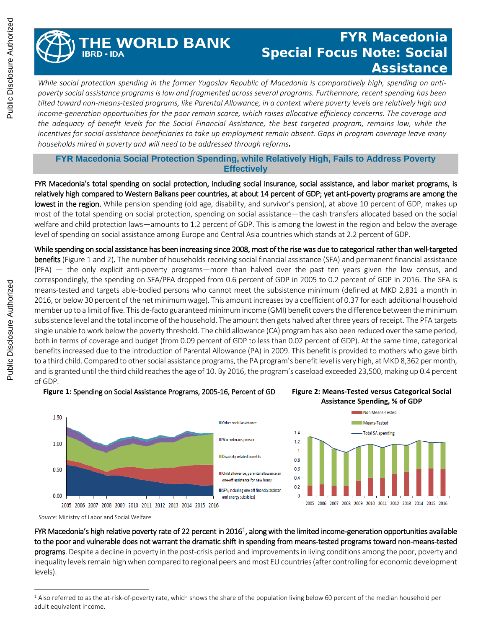## **HE WORLD BANK IBRD - IDA**

## **FYR Macedonia Special Focus Note: Social Assistance**

*While social protection spending in the former Yugoslav Republic of Macedonia is comparatively high, spending on antipoverty social assistance programs is low and fragmented across several programs. Furthermore, recent spending has been tilted toward non-means-tested programs, like Parental Allowance, in a context where poverty levels are relatively high and income-generation opportunities for the poor remain scarce, which raises allocative efficiency concerns. The coverage and the adequacy of benefit levels for the Social Financial Assistance, the best targeted program, remains low, while the incentives for social assistance beneficiaries to take up employment remain absent. Gaps in program coverage leave many households mired in poverty and will need to be addressed through reforms.* 

**FYR Macedonia Social Protection Spending, while Relatively High, Fails to Address Poverty Effectively**

FYR Macedonia's total spending on social protection, including social insurance, social assistance, and labor market programs, is relatively high compared to Western Balkans peer countries, at about 14 percent of GDP; yet anti-poverty programs are among the lowest in the region. While pension spending (old age, disability, and survivor's pension), at above 10 percent of GDP, makes up most of the total spending on social protection, spending on social assistance—the cash transfers allocated based on the social welfare and child protection laws—amounts to 1.2 percent of GDP. This is among the lowest in the region and below the average level of spending on social assistance among Europe and Central Asia countries which stands at 2.2 percent of GDP.

While spending on social assistance has been increasing since 2008, most of the rise was due to categorical rather than well-targeted **benefits** (Figure 1 and 2). The number of households receiving social financial assistance (SFA) and permanent financial assistance (PFA) — the only explicit anti-poverty programs—more than halved over the past ten years given the low census, and correspondingly, the spending on SFA/PFA dropped from 0.6 percent of GDP in 2005 to 0.2 percent of GDP in 2016. The SFA is means-tested and targets able-bodied persons who cannot meet the subsistence minimum (defined at MKD 2,831 a month in 2016, or below 30 percent of the net minimum wage). This amount increases by a coefficient of 0.37 for each additional household member up to a limit of five. This de-facto guaranteed minimum income (GMI) benefit covers the difference between the minimum subsistence level and the total income of the household. The amount then gets halved after three years of receipt. The PFA targets single unable to work below the poverty threshold. The child allowance (CA) program has also been reduced over the same period, both in terms of coverage and budget (from 0.09 percent of GDP to less than 0.02 percent of GDP). At the same time, categorical benefits increased due to the introduction of Parental Allowance (PA) in 2009. This benefit is provided to mothers who gave birth to a third child. Compared to other social assistance programs, the PA program's benefit level is very high, at MKD 8,362 per month, and is granted until the third child reaches the age of 10. By 2016, the program's caseload exceeded 23,500, making up 0.4 percent of GDP.



**Figure 1:** Spending on Social Assistance Programs, 2005-16, Percent of GD **Figure 2: Means-Tested versus Categorical Social** 



*Source:* Ministry of Labor and Social Welfare

 $\overline{a}$ 

FYR Macedonia's high relative poverty rate of 22 percent in 20[1](#page-0-0)6<sup>1</sup>, along with the limited income-generation opportunities available to the poor and vulnerable does not warrant the dramatic shift in spending from means-tested programs toward non-means-tested programs. Despite a decline in poverty in the post-crisis period and improvements in living conditions among the poor, poverty and inequality levels remain high when compared to regional peers and most EU countries (after controlling for economic development levels).

<span id="page-0-0"></span><sup>&</sup>lt;sup>1</sup> Also referred to as the at-risk-of-poverty rate, which shows the share of the population living below 60 percent of the median household per adult equivalent income.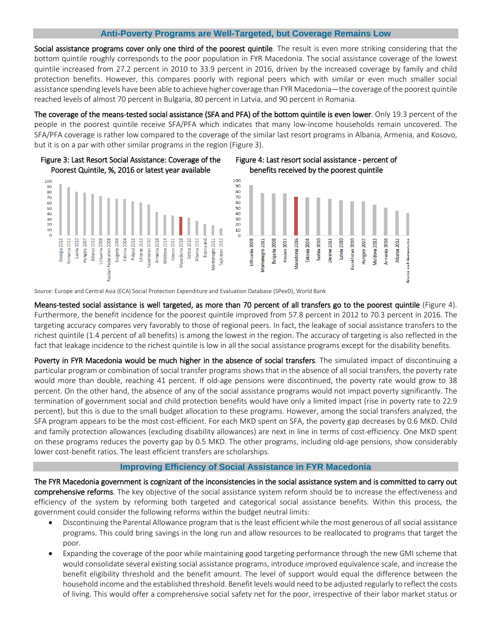## **Anti-Poverty Programs are Well-Targeted, but Coverage Remains Low**

Social assistance programs cover only one third of the poorest quintile. The result is even more striking considering that the bottom quintile roughly corresponds to the poor population in FYR Macedonia. The social assistance coverage of the lowest quintile increased from 27.2 percent in 2010 to 33.9 percent in 2016, driven by the increased coverage by family and child protection benefits. However, this compares poorly with regional peers which with similar or even much smaller social assistance spending levels have been able to achieve higher coverage than FYR Macedonia—the coverage of the poorest quintile reached levels of almost 70 percent in Bulgaria, 80 percent in Latvia, and 90 percent in Romania.

The coverage of the means-tested social assistance (SFA and PFA) of the bottom quintile is even lower. Only 19.3 percent of the people in the poorest quintile receive SFA/PFA which indicates that many low-income households remain uncovered. The SFA/PFA coverage is rather low compared to the coverage of the similar last resort programs in Albania, Armenia, and Kosovo, but it is on a par with other similar programs in the region (Figure 3).



*Source:* Europe and Central Asia (ECA) Social Protection Expenditure and Evaluation Database (SPeeD), World Bank

Means-tested social assistance is well targeted, as more than 70 percent of all transfers go to the poorest quintile (Figure 4). Furthermore, the benefit incidence for the poorest quintile improved from 57.8 percent in 2012 to 70.3 percent in 2016. The targeting accuracy compares very favorably to those of regional peers. In fact, the leakage of social assistance transfers to the richest quintile (1.4 percent of all benefits) is among the lowest in the region. The accuracy of targeting is also reflected in the fact that leakage incidence to the richest quintile is low in all the social assistance programs except for the disability benefits.

Poverty in FYR Macedonia would be much higher in the absence of social transfers. The simulated impact of discontinuing a particular program or combination of social transfer programs shows that in the absence of all social transfers, the poverty rate would more than double, reaching 41 percent. If old-age pensions were discontinued, the poverty rate would grow to 38 percent. On the other hand, the absence of any of the social assistance programs would not impact poverty significantly. The termination of government social and child protection benefits would have only a limited impact (rise in poverty rate to 22.9 percent), but this is due to the small budget allocation to these programs. However, among the social transfers analyzed, the SFA program appears to be the most cost-efficient. For each MKD spent on SFA, the poverty gap decreases by 0.6 MKD. Child and family protection allowances (excluding disability allowances) are next in line in terms of cost-efficiency. One MKD spent on these programs reduces the poverty gap by 0.5 MKD. The other programs, including old-age pensions, show considerably lower cost-benefit ratios. The least efficient transfers are scholarships.

## **Improving Efficiency of Social Assistance in FYR Macedonia**

The FYR Macedonia government is cognizant of the inconsistencies in the social assistance system and is committed to carry out comprehensive reforms. The key objective of the social assistance system reform should be to increase the effectiveness and efficiency of the system by reforming both targeted and categorical social assistance benefits. Within this process, the government could consider the following reforms within the budget neutral limits:

- Discontinuing the Parental Allowance program that is the least efficient while the most generous of all social assistance programs. This could bring savings in the long run and allow resources to be reallocated to programs that target the poor.
- Expanding the coverage of the poor while maintaining good targeting performance through the new GMI scheme that would consolidate several existing social assistance programs, introduce improved equivalence scale, and increase the benefit eligibility threshold and the benefit amount. The level of support would equal the difference between the household income and the established threshold. Benefit levels would need to be adjusted regularly to reflect the costs of living. This would offer a comprehensive social safety net for the poor, irrespective of their labor market status or